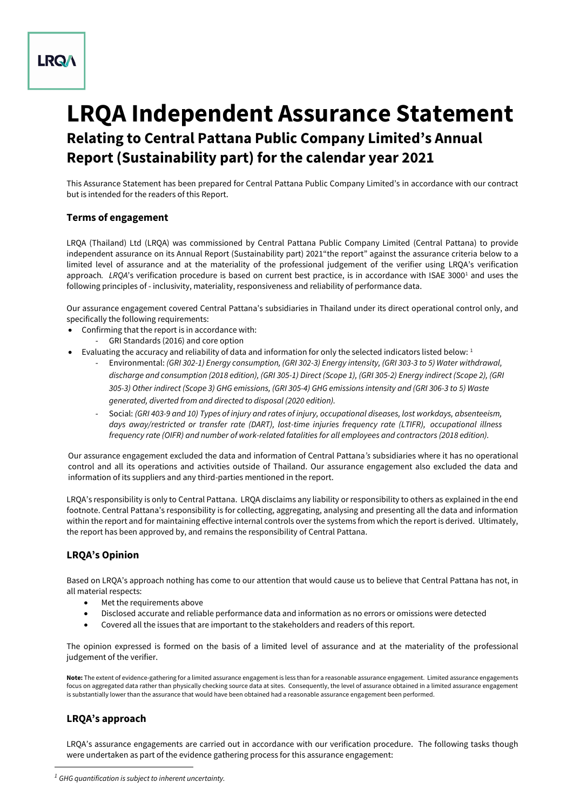# **LRQA**

# **LRQA Independent Assurance Statement Relating to Central Pattana Public Company Limited's Annual Report (Sustainability part) for the calendar year 2021**

This Assurance Statement has been prepared for Central Pattana Public Company Limited's in accordance with our contract but is intended for the readers of this Report.

### **Terms of engagement**

LRQA (Thailand) Ltd (LRQA) was commissioned by Central Pattana Public Company Limited (Central Pattana) to provide independent assurance on its Annual Report (Sustainability part) 2021"the report" against the assurance criteria below to a limited level of assurance and at the materiality of the professional judgement of the verifier using LRQA's verification approach. *LROA*'s verification procedure is based on current best practice, is in accordance with ISAE 3000<sup>1</sup> and uses the following principles of - inclusivity, materiality, responsiveness and reliability of performance data.

Our assurance engagement covered Central Pattana's subsidiaries in Thailand under its direct operational control only, and specifically the following requirements:

- Confirming that the report is in accordance with:
	- GRI Standards (2016) and core option
- Evaluating the accuracy and reliability of data and information for only the selected indicators listed below:  $1$ 
	- Environmental: *(GRI 302-1) Energy consumption, (GRI 302-3) Energy intensity, (GRI 303-3 to 5) Water withdrawal, discharge and consumption (2018 edition), (GRI 305-1) Direct (Scope 1), (GRI 305-2) Energy indirect (Scope 2), (GRI 305-3) Other indirect (Scope 3) GHG emissions, (GRI 305-4) GHG emissions intensity and (GRI 306-3 to 5) Waste generated, diverted from and directed to disposal (2020 edition).*
	- Social: *(GRI 403-9 and 10) Types of injury and rates of injury, occupational diseases, lost workdays, absenteeism, days away/restricted or transfer rate (DART), lost-time injuries frequency rate (LTIFR), occupational illness frequency rate (OIFR) and number of work-related fatalities for all employees and contractors (2018 edition).*

Our assurance engagement excluded the data and information of Central Pattana*'s* subsidiaries where it has no operational control and all its operations and activities outside of Thailand. Our assurance engagement also excluded the data and information of its suppliers and any third-parties mentioned in the report.

LRQA's responsibility is only to Central Pattana. LRQA disclaims any liability or responsibility to others as explained in the end footnote. Central Pattana's responsibility is for collecting, aggregating, analysing and presenting all the data and information within the report and for maintaining effective internal controls over the systems from which the report is derived. Ultimately, the report has been approved by, and remains the responsibility of Central Pattana.

## **LRQA's Opinion**

Based on LRQA's approach nothing has come to our attention that would cause us to believe that Central Pattana has not, in all material respects:

- Met the requirements above
- Disclosed accurate and reliable performance data and information as no errors or omissions were detected
- Covered all the issues that are important to the stakeholders and readers of this report.

The opinion expressed is formed on the basis of a limited level of assurance and at the materiality of the professional judgement of the verifier.

**Note:** The extent of evidence-gathering for a limited assurance engagement is less than for a reasonable assurance engagement. Limited assurance engagements focus on aggregated data rather than physically checking source data at sites. Consequently, the level of assurance obtained in a limited assurance engagement is substantially lower than the assurance that would have been obtained had a reasonable assurance engagement been performed.

## **LRQA's approach**

LRQA's assurance engagements are carried out in accordance with our verification procedure. The following tasks though were undertaken as part of the evidence gathering process for this assurance engagement:

*<sup>1</sup> GHG quantification is subject to inherent uncertainty.*